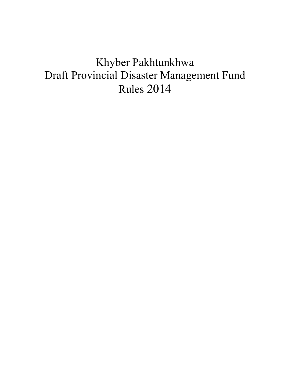# Khyber Pakhtunkhwa Draft Provincial Disaster Management Fund Rules 2014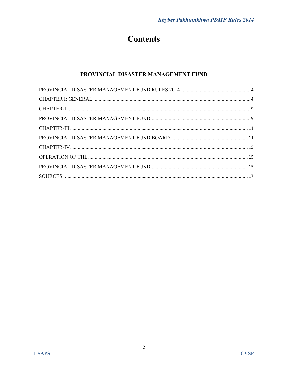## **Contents**

## PROVINCIAL DISASTER MANAGEMENT FUND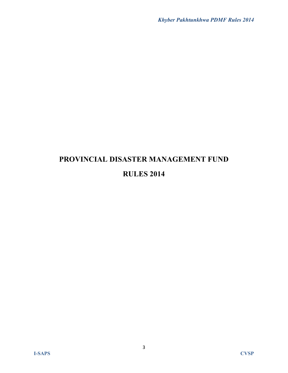## **PROVINCIAL DISASTER MANAGEMENT FUND RULES 2014**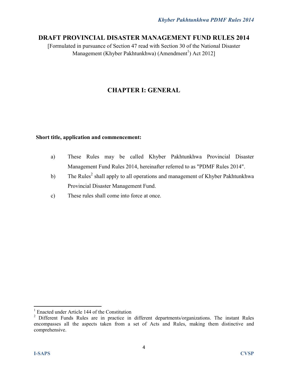## **DRAFT PROVINCIAL DISASTER MANAGEMENT FUND RULES 2014**

[Formulated in pursuance of Section 47 read with Section 30 of the National Disaster Management (Khyber Pakhtunkhwa) (Amendment<sup>1</sup>) Act 2012]

## **CHAPTER I: GENERAL**

## **Short title, application and commencement:**

- a) These Rules may be called Khyber Pakhtunkhwa Provincial Disaster Management Fund Rules 2014, hereinafter referred to as "PDMF Rules 2014".
- b) The Rules<sup>2</sup> shall apply to all operations and management of Khyber Pakhtunkhwa Provincial Disaster Management Fund.
- c) These rules shall come into force at once.

<sup>1</sup> Enacted under Article 144 of the Constitution

<sup>&</sup>lt;sup>2</sup> Different Funds Rules are in practice in different departments/organizations. The instant Rules encompasses all the aspects taken from a set of Acts and Rules, making them distinctive and comprehensive.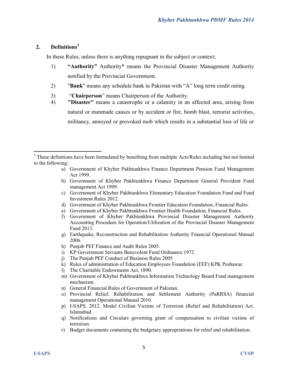## **2. Definitions<sup>3</sup>**

 $\overline{a}$ 

In these Rules, unless there is anything repugnant in the subject or context;

- 1) **"Authority"** Authority\* means the Provincial Disaster Management Authority notified by the Provincial Government.
- 2) "**Bank**" means any schedule bank in Pakistan with "A" long term credit rating.
- 3) "**Chairperson**" means Chairperson of the Authority.
- 4) **"Disaster"** means a catastrophe or a calamity in an affected area, arising from natural or manmade causes or by accident or fire, bomb blast, terrorist activities, militancy, annoyed or provoked mob which results in a substantial loss of life or

- a) Government of Khyber Pakhtunkhwa Finance Department Pension Fund Management Act 1999.
- b) Government of Khyber Pakhtunkhwa Finance Department General Provident Fund management Act 1999.
- c) Government of Khyber Pakhtunkhwa Elementary Education Foundation Fund and Fund Investment Rules 2012.
- d) Government of Khyber Pakhtunkhwa Frontier Education Foundation, Financial Rules.
- e) Government of Khyber Pakhtunkhwa Frontier Health Foundation, Financial Rules.
- f) Government of Khyber Pakhtunkhwa Provincial Disaster Management Authority Accounting Procedure for Operation/Utilization of the Provincial Disaster Management Fund 2013.
- g) Earthquake, Reconstruction and Rehabilitation Authority Financial Operational Manual 2006.
- h) Punjab PEF Finance and Audit Rules 2005.
- i) KP Government Servants Benevolent Fund Ordinance 1972.
- j) The Punjab PEF Conduct of Business Rules 2005
- k) Rules of administration of Education Employees Foundation (EEF) KPK Peshawar.
- l) The Charitable Endowments Act, 1890.
- m) Government of Khyber Pakhtunkhwa Information Technology Board Fund management mechanism.
- n) General Financial Rules of Government of Pakistan.
- o) Provincial Relief, Rehabilitation and Settlement Authority (PaRRSA) financial management Operational Manual 2010.
- p) I-SAPS. 2012. Model Civilian Victims of Terrorism (Relief and Rehabilitation) Act. Islamabad.
- q) Notifications and Circulars governing grant of compensation to civilian victims of terrorism.
- r) Budget documents containing the budgetary appropriations for relief and rehabilitation.

<sup>&</sup>lt;sup>3</sup> These definitions have been formulated by benefiting from multiple Acts/Rules including but not limited to the following: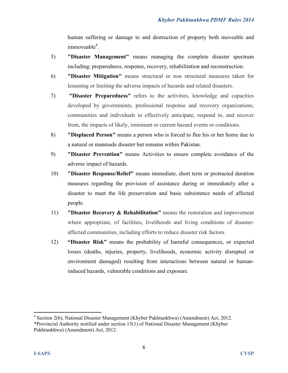human suffering or damage to and destruction of property both moveable and immoveable<sup>4</sup>.

- 5) **"Disaster Management"** means managing the complete disaster spectrum including; preparedness, response, recovery, rehabilitation and reconstruction.
- 6) **"Disaster Mitigation"** means structural or non structural measures taken for lessening or limiting the adverse impacts of hazards and related disasters.
- 7) **"Disaster Preparedness"** refers to the activities, knowledge and capacities developed by governments, professional response and recovery organizations, communities and individuals to effectively anticipate, respond to, and recover from, the impacts of likely, imminent or current hazard events or conditions.
- 8) **"Displaced Person"** means a person who is forced to flee his or her home due to a natural or manmade disaster but remains within Pakistan.
- 9) **"Disaster Prevention"** means Activities to ensure complete avoidance of the adverse impact of hazards.
- 10) **"Disaster Response/Relief"** means immediate, short term or protracted duration measures regarding the provision of assistance during or immediately after a disaster to meet the life preservation and basic subsistence needs of affected people.
- 11) **"Disaster Recovery & Rehabilitation"** means the restoration and improvement where appropriate, of facilities, livelihoods and living conditions of disasteraffected communities, including efforts to reduce disaster risk factors.
- 12) **"Disaster Risk"** means the probability of harmful consequences, or expected losses (deaths, injuries, property, livelihoods, economic activity disrupted or environment damaged) resulting from interactions between natural or humaninduced hazards, vulnerable conditions and exposure.

<sup>&</sup>lt;sup>4</sup> Section 2(b), National Disaster Management (Khyber Pakhtunkhwa) (Amendment) Act, 2012.

<sup>\*</sup>Provincial Authority notified under section 15(1) of National Disaster Management (Khyber Pakhtunkhwa) (Amendment) Act, 2012.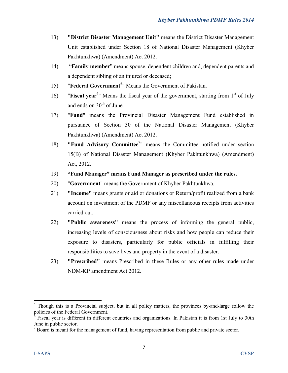- 13) **"District Disaster Management Unit"** means the District Disaster Management Unit established under Section 18 of National Disaster Management (Khyber Pakhtunkhwa) (Amendment) Act 2012.
- 14) "**Family member**" means spouse, dependent children and, dependent parents and a dependent sibling of an injured or deceased;
- 15) **"Federal Government<sup>5</sup>"** Means the Government of Pakistan.
- 16) **"Fiscal year**<sup>6</sup>" Means the fiscal year of the government, starting from 1<sup>st</sup> of July and ends on  $30<sup>th</sup>$  of June.
- 17) "**Fund**" means the Provincial Disaster Management Fund established in pursuance of Section 30 of the National Disaster Management (Khyber Pakhtunkhwa) (Amendment) Act 2012.
- 18) **"Fund Advisory Committee**<sup>7</sup>" means the Committee notified under section 15(B) of National Disaster Management (Khyber Pakhtunkhwa) (Amendment) Act, 2012.
- 19) **"Fund Manager" means Fund Manager as prescribed under the rules.**
- 20) "**Government**" means the Government of Khyber Pakhtunkhwa.
- 21) **"Income"** means grants or aid or donations or Return/profit realized from a bank account on investment of the PDMF or any miscellaneous receipts from activities carried out.
- 22) **"Public awareness"** means the process of informing the general public, increasing levels of consciousness about risks and how people can reduce their exposure to disasters, particularly for public officials in fulfilling their responsibilities to save lives and property in the event of a disaster.
- 23) **"Prescribed"** means Prescribed in these Rules or any other rules made under NDM-KP amendment Act 2012.

<sup>&</sup>lt;sup>5</sup> Though this is a Provincial subject, but in all policy matters, the provinces by-and-large follow the policies of the Federal Government.

<sup>6</sup> Fiscal year is different in different countries and organizations. In Pakistan it is from 1st July to 30th June in public sector.

 $<sup>7</sup>$  Board is meant for the management of fund, having representation from public and private sector.</sup>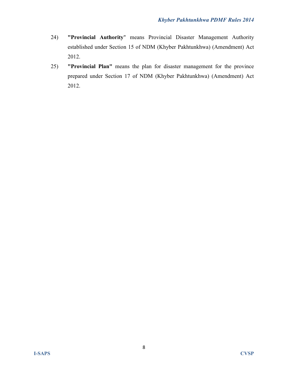- 24) **"Provincial Authority**" means Provincial Disaster Management Authority established under Section 15 of NDM (Khyber Pakhtunkhwa) (Amendment) Act 2012.
- 25) **"Provincial Plan"** means the plan for disaster management for the province prepared under Section 17 of NDM (Khyber Pakhtunkhwa) (Amendment) Act 2012.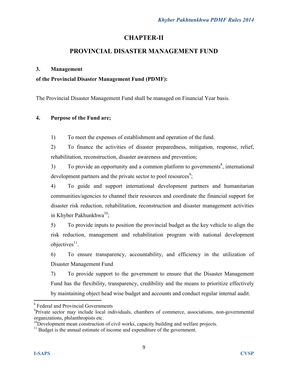## **CHAPTER-II**

## **PROVINCIAL DISASTER MANAGEMENT FUND**

#### **3. Management**

#### **of the Provincial Disaster Management Fund (PDMF):**

The Provincial Disaster Management Fund shall be managed on Financial Year basis.

#### **4. Purpose of the Fund are;**

1) To meet the expenses of establishment and operation of the fund.

2) To finance the activities of disaster preparedness, mitigation, response, relief, rehabilitation, reconstruction, disaster awareness and prevention;

 $3)$  To provide an opportunity and a common platform to governments<sup>8</sup>, international development partners and the private sector to pool resources<sup>9</sup>;

4) To guide and support international development partners and humanitarian communities/agencies to channel their resources and coordinate the financial support for disaster risk reduction, rehabilitation, reconstruction and disaster management activities in Khyber Pakhunkhwa $^{10}$ :

5) To provide inputs to position the provincial budget as the key vehicle to align the risk reduction, management and rehabilitation program with national development objectives<sup>11</sup>.

6) To ensure transparency, accountability, and efficiency in the utilization of Disaster Management Fund

7) To provide support to the government to ensure that the Disaster Management Fund has the flexibility, transparency, credibility and the means to prioritize effectively by maintaining object head wise budget and accounts and conduct regular internal audit.

<sup>8</sup> Federal and Provincial Governments

<sup>&</sup>lt;sup>9</sup>Private sector may include local individuals, chambers of commerce, associations, non-governmental organizations, philanthropists etc.

 $10D$  evelopment mean construction of civil works, capacity building and welfare projects.

<sup>&</sup>lt;sup>11</sup> Budget is the annual estimate of income and expenditure of the government.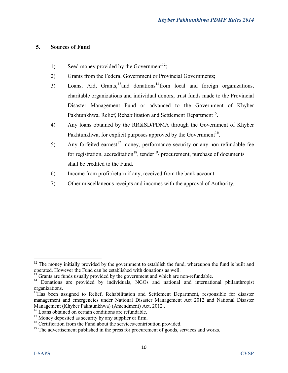## **5. Sources of Fund**

- 1) Seed money provided by the Government<sup>12</sup>;
- 2) Grants from the Federal Government or Provincial Governments;
- 3) Loans, Aid, Grants,  $13$  and donations  $14$  from local and foreign organizations, charitable organizations and individual donors, trust funds made to the Provincial Disaster Management Fund or advanced to the Government of Khyber Pakhtunkhwa, Relief, Rehabilitation and Settlement Department<sup>15</sup>.
- 4) Any loans obtained by the RR&SD/PDMA through the Government of Khyber Pakhtunkhwa, for explicit purposes approved by the Government<sup>16</sup>.
- 5) Any forfeited earnest<sup>17</sup> money, performance security or any non-refundable fee for registration, accreditation<sup>18</sup>, tender<sup>19</sup>/ procurement, purchase of documents shall be credited to the Fund.
- 6) Income from profit/return if any, received from the bank account.
- 7) Other miscellaneous receipts and incomes with the approval of Authority.

 $12$  The money initially provided by the government to establish the fund, whereupon the fund is built and operated. However the Fund can be established with donations as well.

Grants are funds usually provided by the government and which are non-refundable.

<sup>&</sup>lt;sup>14</sup> Donations are provided by individuals, NGOs and national and international philanthropist organizations.

<sup>&</sup>lt;sup>15</sup>Has been assigned to Relief, Rehabilitation and Settlement Department, responsible for disaster management and emergencies under National Disaster Management Act 2012 and National Disaster Management (Khyber Pakhtunkhwa) (Amendment) Act, 2012 .

<sup>&</sup>lt;sup>16</sup> Loans obtained on certain conditions are refundable.

 $17$  Money deposited as security by any supplier or firm.

<sup>&</sup>lt;sup>18</sup> Certification from the Fund about the services/contribution provided.

 $19$ <sup>19</sup> The advertisement published in the press for procurement of goods, services and works.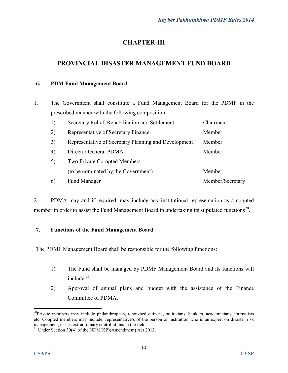## **CHAPTER-III**

## **PROVINCIAL DISASTER MANAGEMENT FUND BOARD**

#### **6. PDM Fund Management Board**

1. The Government shall constitute a Fund Management Board for the PDMF in the prescribed manner with the following composition:-

| 1) | Secretary Relief, Rehabilitation and Settlement      | Chairman         |
|----|------------------------------------------------------|------------------|
| 2) | Representative of Secretary Finance                  | Member           |
| 3) | Representative of Secretary Planning and Development | Member           |
| 4) | Director General PDMA                                | Member           |
| 5) | Two Private Co-opted Members                         |                  |
|    | (to be nominated by the Government)                  | Member           |
| 6) | <b>Fund Manager</b>                                  | Member/Secretary |

2. PDMA may and if required, may include any institutional representation as a coopted member in order to assist the Fund Management Board in undertaking its stipulated functions<sup>20</sup>.

## **7. Functions of the Fund Management Board**

The PDMF Management Board shall be responsible for the following functions:

- 1) The Fund shall be managed by PDMF Management Board and its functions will include:<sup>21</sup>
- 2) Approval of annual plans and budget with the assistance of the Finance Committee of PDMA.

<sup>&</sup>lt;sup>20</sup>Private members may include philanthropists, renowned citizens, politicians, bankers, academicians, journalists etc. Coopted members may include; representative/s of the person or institution who is an expert on disaster risk management, or has extraordinary contributions in the field.

<sup>&</sup>lt;sup>21</sup> Under Section 30(4) of the NDM(KP)(Amendment) Act 2012.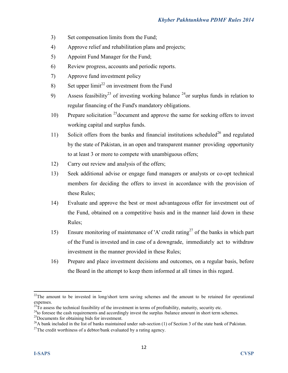- 3) Set compensation limits from the Fund;
- 4) Approve relief and rehabilitation plans and projects;
- 5) Appoint Fund Manager for the Fund;
- 6) Review progress, accounts and periodic reports.
- 7) Approve fund investment policy
- 8) Set upper  $\lim_{x \to 2} t^{22}$  on investment from the Fund
- 9) Assess feasibility<sup>23</sup> of investing working balance <sup>24</sup>or surplus funds in relation to regular financing of the Fund's mandatory obligations.
- 10) Prepare solicitation  $25$  document and approve the same for seeking offers to invest working capital and surplus funds.
- 11) Solicit offers from the banks and financial institutions scheduled<sup>26</sup> and regulated by the state of Pakistan, in an open and transparent manner providing opportunity to at least 3 or more to compete with unambiguous offers;
- 12) Carry out review and analysis of the offers;
- 13) Seek additional advise or engage fund managers or analysts or co-opt technical members for deciding the offers to invest in accordance with the provision of these Rules;
- 14) Evaluate and approve the best or most advantageous offer for investment out of the Fund, obtained on a competitive basis and in the manner laid down in these Rules;
- 15) Ensure monitoring of maintenance of 'A' credit rating<sup>27</sup> of the banks in which part of the Fund is invested and in case of a downgrade, immediately act to withdraw investment in the manner provided in these Rules;
- 16) Prepare and place investment decisions and outcomes, on a regular basis, before the Board in the attempt to keep them informed at all times in this regard.

<sup>&</sup>lt;sup>22</sup>The amount to be invested in long/short term saving schemes and the amount to be retained for operational expenses.

 $^{23}$ To assess the technical feasibility of the investment in terms of profitability, maturity, security etc.

<sup>&</sup>lt;sup>24</sup>to foresee the cash requirements and accordingly invest the surplus /balance amount in short term schemes.

<sup>&</sup>lt;sup>25</sup>Documents for obtaining bids for investment.

<sup>&</sup>lt;sup>26</sup>A bank included in the list of banks maintained under sub-section (1) of Section 3 of the state bank of Pakistan.

 $27$ The credit worthiness of a debtor/bank evaluated by a rating agency.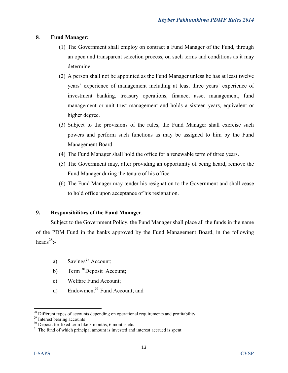#### **8**. **Fund Manager:**

- (1) The Government shall employ on contract a Fund Manager of the Fund, through an open and transparent selection process, on such terms and conditions as it may determine.
- (2) A person shall not be appointed as the Fund Manager unless he has at least twelve years' experience of management including at least three years' experience of investment banking, treasury operations, finance, asset management, fund management or unit trust management and holds a sixteen years, equivalent or higher degree.
- (3) Subject to the provisions of the rules, the Fund Manager shall exercise such powers and perform such functions as may be assigned to him by the Fund Management Board.
- (4) The Fund Manager shall hold the office for a renewable term of three years.
- (5) The Government may, after providing an opportunity of being heard, remove the Fund Manager during the tenure of his office.
- (6) The Fund Manager may tender his resignation to the Government and shall cease to hold office upon acceptance of his resignation.

## **9. Responsibilities of the Fund Manager**:-

Subject to the Government Policy, the Fund Manager shall place all the funds in the name of the PDM Fund in the banks approved by the Fund Management Board, in the following heads<sup>28</sup>:-

- a) Savings<sup>29</sup> Account;
- b) Term  $30$ Deposit Account;
- c) Welfare Fund Account;
- d) Endowment<sup>31</sup> Fund Account; and

<sup>&</sup>lt;sup>28</sup> Different types of accounts depending on operational requirements and profitability.

<sup>&</sup>lt;sup>29</sup> Interest bearing accounts

 $30$  Deposit for fixed term like 3 months, 6 months etc.

 $31$  The fund of which principal amount is invested and interest accrued is spent.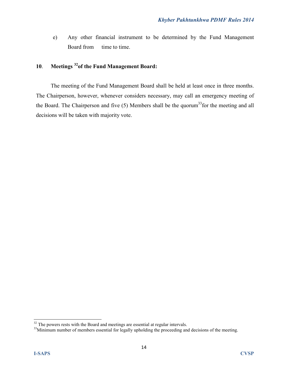e) Any other financial instrument to be determined by the Fund Management Board from time to time.

## **10**. **Meetings <sup>32</sup>of the Fund Management Board:**

The meeting of the Fund Management Board shall be held at least once in three months. The Chairperson, however, whenever considers necessary, may call an emergency meeting of the Board. The Chairperson and five  $(5)$  Members shall be the quorum<sup>33</sup> for the meeting and all decisions will be taken with majority vote.

<sup>&</sup>lt;sup>32</sup> The powers rests with the Board and meetings are essential at regular intervals.

<sup>&</sup>lt;sup>33</sup>Minimum number of members essential for legally upholding the proceeding and decisions of the meeting.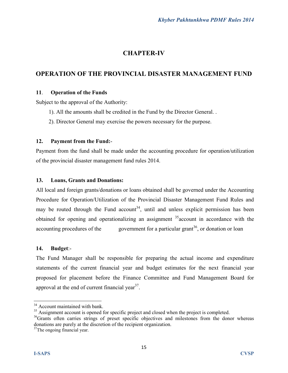## **CHAPTER-IV**

## **OPERATION OF THE PROVINCIAL DISASTER MANAGEMENT FUND**

#### **11**. **Operation of the Funds**

Subject to the approval of the Authority:

- 1). All the amounts shall be credited in the Fund by the Director General. .
- 2). Director General may exercise the powers necessary for the purpose.

#### **12. Payment from the Fund:**-

Payment from the fund shall be made under the accounting procedure for operation/utilization of the provincial disaster management fund rules 2014.

#### **13. Loans, Grants and Donations:**

All local and foreign grants/donations or loans obtained shall be governed under the Accounting Procedure for Operation/Utilization of the Provincial Disaster Management Fund Rules and may be routed through the Fund account<sup>34</sup>, until and unless explicit permission has been obtained for opening and operationalizing an assignment  $35$  account in accordance with the accounting procedures of the government for a particular grant<sup>36</sup>, or donation or loan

#### **14. Budget**:-

The Fund Manager shall be responsible for preparing the actual income and expenditure statements of the current financial year and budget estimates for the next financial year proposed for placement before the Finance Committee and Fund Management Board for approval at the end of current financial year $3^7$ .

<sup>&</sup>lt;sup>34</sup> Account maintained with bank.

<sup>&</sup>lt;sup>35</sup> Assignment account is opened for specific project and closed when the project is completed.

<sup>&</sup>lt;sup>36</sup>Grants often carries strings of preset specific objectives and milestones from the donor whereas donations are purely at the discretion of the recipient organization.

<sup>&</sup>lt;sup>37</sup>The ongoing financial year.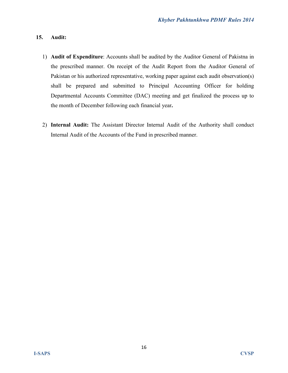#### **15. Audit:**

- 1) **Audit of Expenditure**: Accounts shall be audited by the Auditor General of Pakistna in the prescribed manner. On receipt of the Audit Report from the Auditor General of Pakistan or his authorized representative, working paper against each audit observation(s) shall be prepared and submitted to Principal Accounting Officer for holding Departmental Accounts Committee (DAC) meeting and get finalized the process up to the month of December following each financial year**.**
- 2) **Internal Audit:** The Assistant Director Internal Audit of the Authority shall conduct Internal Audit of the Accounts of the Fund in prescribed manner.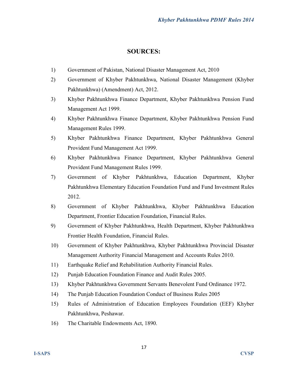## **SOURCES:**

- 1) Government of Pakistan, National Disaster Management Act, 2010
- 2) Government of Khyber Pakhtunkhwa, National Disaster Management (Khyber Pakhtunkhwa) (Amendment) Act, 2012.
- 3) Khyber Pakhtunkhwa Finance Department, Khyber Pakhtunkhwa Pension Fund Management Act 1999.
- 4) Khyber Pakhtunkhwa Finance Department, Khyber Pakhtunkhwa Pension Fund Management Rules 1999.
- 5) Khyber Pakhtunkhwa Finance Department, Khyber Pakhtunkhwa General Provident Fund Management Act 1999.
- 6) Khyber Pakhtunkhwa Finance Department, Khyber Pakhtunkhwa General Provident Fund Management Rules 1999.
- 7) Government of Khyber Pakhtunkhwa, Education Department, Khyber Pakhtunkhwa Elementary Education Foundation Fund and Fund Investment Rules 2012.
- 8) Government of Khyber Pakhtunkhwa, Khyber Pakhtunkhwa Education Department, Frontier Education Foundation, Financial Rules.
- 9) Government of Khyber Pakhtunkhwa, Health Department, Khyber Pakhtunkhwa Frontier Health Foundation, Financial Rules.
- 10) Government of Khyber Pakhtunkhwa, Khyber Pakhtunkhwa Provincial Disaster Management Authority Financial Management and Accounts Rules 2010.
- 11) Earthquake Relief and Rehabilitation Authority Financial Rules.
- 12) Punjab Education Foundation Finance and Audit Rules 2005.
- 13) Khyber Pakhtunkhwa Government Servants Benevolent Fund Ordinance 1972.
- 14) The Punjab Education Foundation Conduct of Business Rules 2005
- 15) Rules of Administration of Education Employees Foundation (EEF) Khyber Pakhtunkhwa, Peshawar.
- 16) The Charitable Endowments Act, 1890.